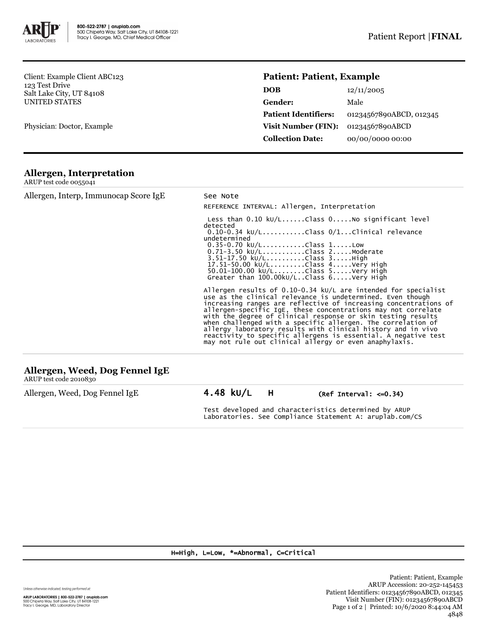

Client: Example Client ABC123 123 Test Drive Salt Lake City, UT 84108 UNITED STATES

Physician: Doctor, Example

## **Patient: Patient, Example**

| <b>DOB</b>                  | 12/11/2005              |
|-----------------------------|-------------------------|
| Gender:                     | Male                    |
| <b>Patient Identifiers:</b> | 01234567890ABCD, 012345 |
| <b>Visit Number (FIN):</b>  | 01234567890ABCD         |
| <b>Collection Date:</b>     | 00/00/0000 00:00        |

## **Allergen, Interpretation**

| ARUP test code 0055041 |  |
|------------------------|--|
|                        |  |

| Allergen, Interp, Immunocap Score IgE | See Note                                                                                                                                                                                                                                                                                                                                                                                                                                                                                                                                                                                        |
|---------------------------------------|-------------------------------------------------------------------------------------------------------------------------------------------------------------------------------------------------------------------------------------------------------------------------------------------------------------------------------------------------------------------------------------------------------------------------------------------------------------------------------------------------------------------------------------------------------------------------------------------------|
|                                       | REFERENCE INTERVAL: Allergen, Interpretation                                                                                                                                                                                                                                                                                                                                                                                                                                                                                                                                                    |
|                                       | Less than $0.10 \text{ kU/L}$ Class $0.100000000000000000000000000$<br>detected<br>$0.10-0.34$ kU/LClass $0/1$ Clinical relevance<br>undetermined<br>$0.35 - 0.70$ kU/LClass 1Low<br>$0.71 - 3.50$ kU/LClass $2.$ Moderate<br>3.51-17.50 kU/LClass 3High<br>17.51-50.00 ku/LClass 4Very High<br>50.01-100.00 ku/LClass 5Very High<br>Greater than $100.00$ kU/LClass $6. \ldots$ .Very High                                                                                                                                                                                                     |
|                                       | Allergen results of $0.10-0.34$ kU/L are intended for specialist<br>use as the clinical relevance is undetermined. Even though<br>increasing ranges are reflective of increasing concentrations of<br>allergen-specific IgE, these concentrations may not correlate<br>with the degree of clinical response or skin testing results<br>when challenged with a specific allergen. The correlation of<br>allergy laboratory results with clinical history and in vivo<br>reactivity to specific allergens is essential. A negative test<br>may not rule out clinical allergy or even anaphylaxis. |
| Allergen, Weed, Dog Fennel IgE        |                                                                                                                                                                                                                                                                                                                                                                                                                                                                                                                                                                                                 |

| And gen, weed, bog renner ige |  |
|-------------------------------|--|
| ARUP test code 2010830        |  |

Allergen, Weed, Dog Fennel IgE 4.48 kU/L H (Ref Interval: <= 0.34)

Test developed and characteristics determined by ARUP Laboratories. See Compliance Statement A: aruplab.com/CS

## H=High, L=Low, \*=Abnormal, C=Critical

Unless otherwise indicated, testing performed at:

**ARUP LABORATORIES | 800-522-2787 | aruplab.com**<br>500 Chipeta Way, Salt Lake City, UT 84108-1221<br>Tracy I. George, MD, Laboratory Director

Patient: Patient, Example ARUP Accession: 20-252-145453 Patient Identifiers: 01234567890ABCD, 012345 Visit Number (FIN): 01234567890ABCD Page 1 of 2 | Printed: 10/6/2020 8:44:04 AM 4848